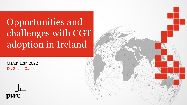## Opportunities and challenges with CGT adoption in Ireland

March 10th 2022 Dr. Shane Gannon



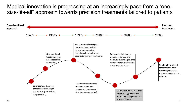Medical innovation is progressing at an increasingly pace from a "onesize-fits-all" approach towards precision treatments tailored to patients

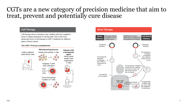#### CGTs are a new category of precision medicine that aim to treat, prevent and potentially cure disease

Cell therapy aims to introduce new, healthy cells into a patient's body to replace diseased or missing cells. One of the most advanced forms of cell therapy is CAR-T treatment for different types of blood cancer.

#### **The CAR-T Process Leukapheresis**





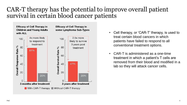#### CAR-T therapy has the potential to improve overall patient survival in certain blood cancer patients



- Cell therapy, or 'CAR-T' therapy, is used to treat certain blood cancers in which patients have failed to respond to all conventional treatment options.
- CAR-T is administered as a one-time treatment in which a patient's T cells are removed from their blood and modified in a lab so they will attack cancer cells.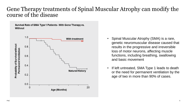#### Gene Therapy treatments of Spinal Muscular Atrophy can modify the course of the disease

Survival Rate of SMA Type 1 Patients - With Gene Therapy vs. Without



- Spinal Muscular Atrophy (SMA) is a rare, genetic neuromuscular disease caused that results in the progressive and irreversible loss of motor neurons, affecting muscle functions, including breathing, swallowing and basic movement
- If left untreated, SMA Type 1 leads to death or the need for permanent ventilation by the age of two in more than 90% of cases.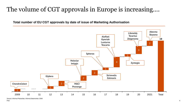### The volume of CGT approvals in Europe is increasing….

**Total number of EU CGT approvals by date of issue of Marketing Authorisation**



Source: Informa Pharavitae, Informa Datamonitor, EMA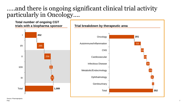#### …..and there is ongoing significant clinical trial activity particularly in Oncology….

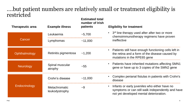#### ….but patient numbers are relatively small or treatment eligibility is restricted

| <b>Therapeutic area</b> | <b>Example illness</b>                 | <b>Estimated total</b><br>number of Irish<br>patients | <b>Eligibility for treatment</b>                                                                                                              |  |
|-------------------------|----------------------------------------|-------------------------------------------------------|-----------------------------------------------------------------------------------------------------------------------------------------------|--|
| Cancer                  | Leukaemia                              | $-5,700$                                              | 3 <sup>rd</sup> line therapy used after after two or more<br>chemoimmunotherapy regimens have proven<br>ineffective                           |  |
|                         | Lymphomas                              | ~11,000                                               |                                                                                                                                               |  |
| Ophthalmology           | Retinitis pigmentosa                   | ~1,200                                                | Patients still have enough functioning cells left in<br>the retina and a form of the disease caused by<br>mutations in the RPE65 gene         |  |
| Neurology               | Spinal muscular<br>atrophy             | $~1 - 55$                                             | Patients have inherited mutations affecting SMN1<br>gene or have up to 3 copies of the SMN2 gene                                              |  |
| Endocrinology           | Crohn's disease                        | ~11,000                                               | Complex perianal fistulas in patients with Crohn's<br>disease                                                                                 |  |
|                         | <b>Metachromatic</b><br>leukodystrophy | $-9$                                                  | Infants or early juveniles who either have no<br>symptoms or can still walk independently and have<br>not yet developed mental deterioration. |  |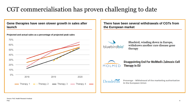### CGT commercialisation has proven challenging to date

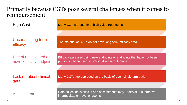#### Primarily because CGTs pose several challenges when it comes to reimbursement

High Cost

Uncertain long term efficacy

Use of unvalidated or novel efficacy endpoints

Lack of robust clinical data

Many CGT are one time, high value treatments

The majority of CGTs do not have long-term efficacy data

Efficacy assessed using new endpoints or endpoints that have not been previously been used to predict disease outcomes

Many CGTs are approved on the basis of open single arm trials

Assessment Data collection is difficult and assessments may undervalue alternative, intermediate or novel endpoints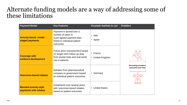#### Alternate funding models are a way of addressing some of these limitations

| <b>Payment Model</b>                                  | <b>Key Features</b>                                                                                                       | <b>Example markets in use</b> | <b>Enablers</b>                                   |
|-------------------------------------------------------|---------------------------------------------------------------------------------------------------------------------------|-------------------------------|---------------------------------------------------|
| <b>Annuity-based model -</b><br>staged payments       | Payment is spread over a<br>number of years in<br>a pre-agreed payment plan,<br>linked to individual patient<br>outcomes  | Italy<br>$\bullet$<br>• Spain |                                                   |
| <b>Coverage with</b><br>evidence development          | Future price reassessment based<br>on longer-term follow up data<br>from pivotal trials and real-world<br>use in patients | • France<br>• United Kingdom  |                                                   |
| <b>Outcomes-based rebates</b>                         | Rebates from pharmaceutical<br>company to government based<br>on individual patient outcomes                              | Germany<br>$\bullet$          | <b>Recording of patient</b><br>outcomes over time |
| <b>Blended annuity-style</b><br>payments with rebates | Instalments over several years,<br>with outcomes based rebates<br>based on patient outcomes                               | • United States               |                                                   |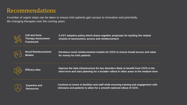#### Recommendations

A number of urgent steps can be taken to ensure Irish patients gain access to innovative and potentially life-changing therapies over the coming years.



**Cell and Gene Therapy Assessment Framework**

**A CGT adoption policy which draws together proposals for tackling the related strands of assessment, access and reimbursement**



**Novel Reimbursement Models**

**Introduce novel reimbursement models for CGTs to ensure broad access and value for money for Irish patients**



**Efficacy data Improve the data infrastructure for key disorders likely to benefit from CGTs in the short term and start planning for a broader rollout in other areas in the medium term**



**Expertise and Resources**

**Continue to invest in facilities and staff while ensuring training and engagement with clinicians and patients to allow for a smooth national rollout of CGTs**